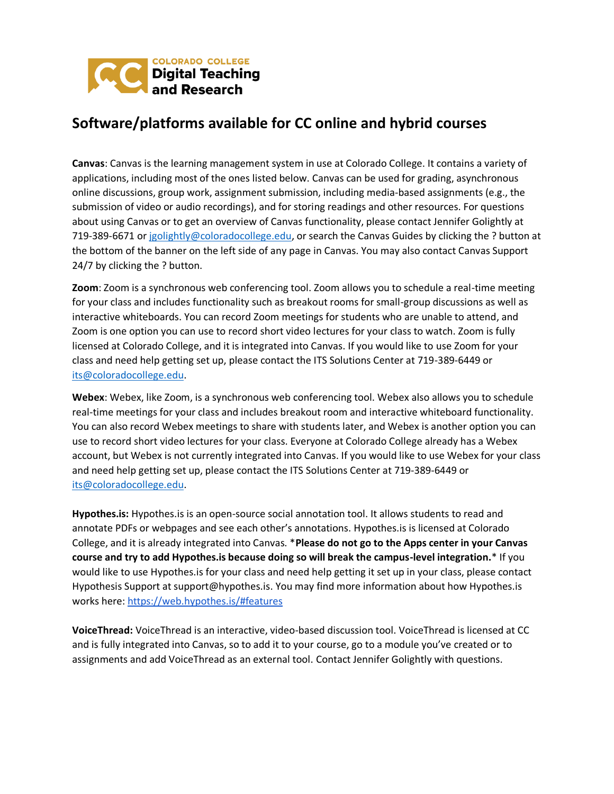

## **Software/platforms available for CC online and hybrid courses**

**Canvas**: Canvas is the learning management system in use at Colorado College. It contains a variety of applications, including most of the ones listed below. Canvas can be used for grading, asynchronous online discussions, group work, assignment submission, including media-based assignments (e.g., the submission of video or audio recordings), and for storing readings and other resources. For questions about using Canvas or to get an overview of Canvas functionality, please contact Jennifer Golightly at 719-389-6671 or [jgolightly@coloradocollege.edu,](mailto:jgolightly@coloradocollege.edu) or search the Canvas Guides by clicking the ? button at the bottom of the banner on the left side of any page in Canvas. You may also contact Canvas Support 24/7 by clicking the ? button.

**Zoom**: Zoom is a synchronous web conferencing tool. Zoom allows you to schedule a real-time meeting for your class and includes functionality such as breakout rooms for small-group discussions as well as interactive whiteboards. You can record Zoom meetings for students who are unable to attend, and Zoom is one option you can use to record short video lectures for your class to watch. Zoom is fully licensed at Colorado College, and it is integrated into Canvas. If you would like to use Zoom for your class and need help getting set up, please contact the ITS Solutions Center at 719-389-6449 or [its@coloradocollege.edu.](mailto:its@coloradocollege.edu)

**Webex**: Webex, like Zoom, is a synchronous web conferencing tool. Webex also allows you to schedule real-time meetings for your class and includes breakout room and interactive whiteboard functionality. You can also record Webex meetings to share with students later, and Webex is another option you can use to record short video lectures for your class. Everyone at Colorado College already has a Webex account, but Webex is not currently integrated into Canvas. If you would like to use Webex for your class and need help getting set up, please contact the ITS Solutions Center at 719-389-6449 or [its@coloradocollege.edu.](mailto:its@coloradocollege.edu)

**Hypothes.is:** Hypothes.is is an open-source social annotation tool. It allows students to read and annotate PDFs or webpages and see each other's annotations. Hypothes.is is licensed at Colorado College, and it is already integrated into Canvas. \***Please do not go to the Apps center in your Canvas course and try to add Hypothes.is because doing so will break the campus-level integration.**\* If you would like to use Hypothes.is for your class and need help getting it set up in your class, please contact Hypothesis Support at support@hypothes.is. You may find more information about how Hypothes.is works here:<https://web.hypothes.is/#features>

**VoiceThread:** VoiceThread is an interactive, video-based discussion tool. VoiceThread is licensed at CC and is fully integrated into Canvas, so to add it to your course, go to a module you've created or to assignments and add VoiceThread as an external tool. Contact Jennifer Golightly with questions.